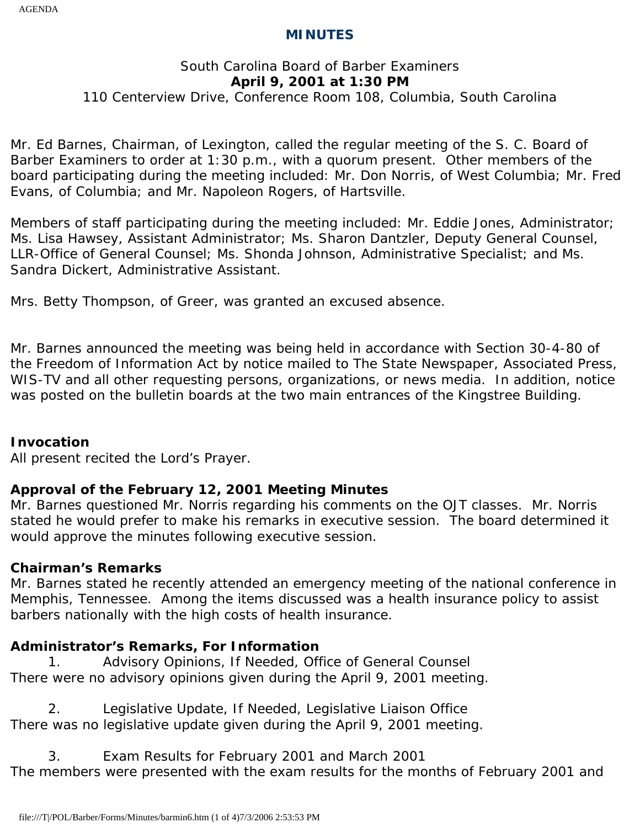### **MINUTES**

# South Carolina Board of Barber Examiners **April 9, 2001 at 1:30 PM**

### 110 Centerview Drive, Conference Room 108, Columbia, South Carolina

Mr. Ed Barnes, Chairman, of Lexington, called the regular meeting of the S. C. Board of Barber Examiners to order at 1:30 p.m., with a quorum present. Other members of the board participating during the meeting included: Mr. Don Norris, of West Columbia; Mr. Fred Evans, of Columbia; and Mr. Napoleon Rogers, of Hartsville.

Members of staff participating during the meeting included: Mr. Eddie Jones, Administrator; Ms. Lisa Hawsey, Assistant Administrator; Ms. Sharon Dantzler, Deputy General Counsel, LLR-Office of General Counsel; Ms. Shonda Johnson, Administrative Specialist; and Ms. Sandra Dickert, Administrative Assistant.

Mrs. Betty Thompson, of Greer, was granted an excused absence.

Mr. Barnes announced the meeting was being held in accordance with Section 30-4-80 of the Freedom of Information Act by notice mailed to The State Newspaper, Associated Press, WIS-TV and all other requesting persons, organizations, or news media. In addition, notice was posted on the bulletin boards at the two main entrances of the Kingstree Building.

#### **Invocation**

All present recited the Lord's Prayer.

# **Approval of the February 12, 2001 Meeting Minutes**

Mr. Barnes questioned Mr. Norris regarding his comments on the OJT classes. Mr. Norris stated he would prefer to make his remarks in executive session. The board determined it would approve the minutes following executive session.

# **Chairman's Remarks**

Mr. Barnes stated he recently attended an emergency meeting of the national conference in Memphis, Tennessee. Among the items discussed was a health insurance policy to assist barbers nationally with the high costs of health insurance.

# **Administrator's Remarks, For Information**

1. Advisory Opinions, If Needed, Office of General Counsel There were no advisory opinions given during the April 9, 2001 meeting.

2. Legislative Update, If Needed, Legislative Liaison Office There was no legislative update given during the April 9, 2001 meeting.

3. Exam Results for February 2001 and March 2001 The members were presented with the exam results for the months of February 2001 and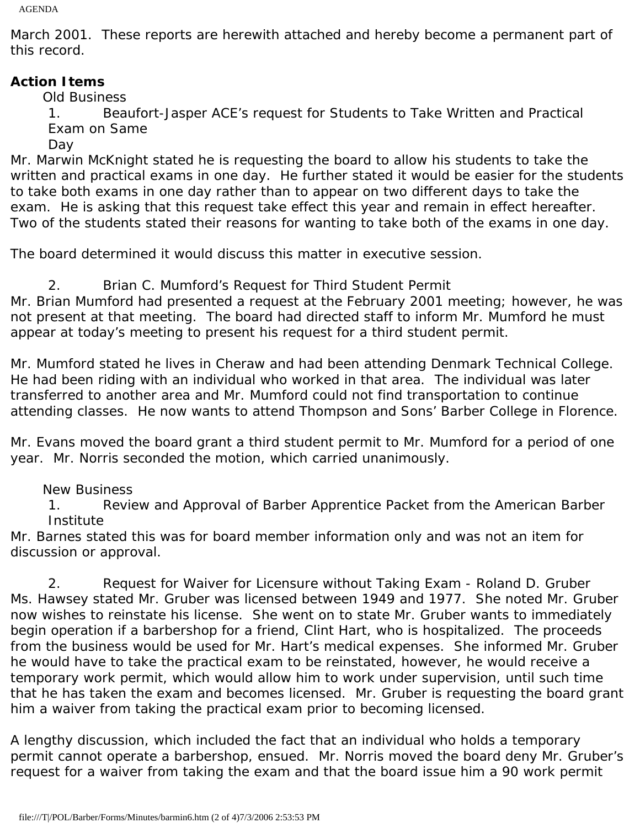AGENDA

March 2001. These reports are herewith attached and hereby become a permanent part of this record.

# **Action Items**

Old Business

1. Beaufort-Jasper ACE's request for Students to Take Written and Practical Exam on Same

Day

Mr. Marwin McKnight stated he is requesting the board to allow his students to take the written and practical exams in one day. He further stated it would be easier for the students to take both exams in one day rather than to appear on two different days to take the exam. He is asking that this request take effect this year and remain in effect hereafter. Two of the students stated their reasons for wanting to take both of the exams in one day.

The board determined it would discuss this matter in executive session.

2. Brian C. Mumford's Request for Third Student Permit Mr. Brian Mumford had presented a request at the February 2001 meeting; however, he was not present at that meeting. The board had directed staff to inform Mr. Mumford he must appear at today's meeting to present his request for a third student permit.

Mr. Mumford stated he lives in Cheraw and had been attending Denmark Technical College. He had been riding with an individual who worked in that area. The individual was later transferred to another area and Mr. Mumford could not find transportation to continue attending classes. He now wants to attend Thompson and Sons' Barber College in Florence.

Mr. Evans moved the board grant a third student permit to Mr. Mumford for a period of one year. Mr. Norris seconded the motion, which carried unanimously.

New Business

1. Review and Approval of Barber Apprentice Packet from the American Barber Institute

Mr. Barnes stated this was for board member information only and was not an item for discussion or approval.

2. Request for Waiver for Licensure without Taking Exam - Roland D. Gruber Ms. Hawsey stated Mr. Gruber was licensed between 1949 and 1977. She noted Mr. Gruber now wishes to reinstate his license. She went on to state Mr. Gruber wants to immediately begin operation if a barbershop for a friend, Clint Hart, who is hospitalized. The proceeds from the business would be used for Mr. Hart's medical expenses. She informed Mr. Gruber he would have to take the practical exam to be reinstated, however, he would receive a temporary work permit, which would allow him to work under supervision, until such time that he has taken the exam and becomes licensed. Mr. Gruber is requesting the board grant him a waiver from taking the practical exam prior to becoming licensed.

A lengthy discussion, which included the fact that an individual who holds a temporary permit cannot operate a barbershop, ensued. Mr. Norris moved the board deny Mr. Gruber's request for a waiver from taking the exam and that the board issue him a 90 work permit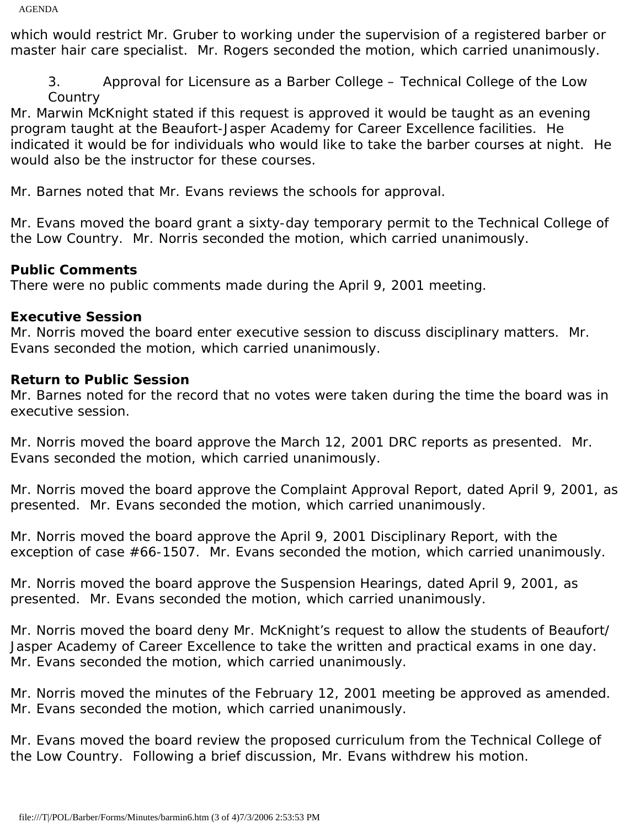which would restrict Mr. Gruber to working under the supervision of a registered barber or master hair care specialist. Mr. Rogers seconded the motion, which carried unanimously.

3. Approval for Licensure as a Barber College – Technical College of the Low **Country** 

Mr. Marwin McKnight stated if this request is approved it would be taught as an evening program taught at the Beaufort-Jasper Academy for Career Excellence facilities. He indicated it would be for individuals who would like to take the barber courses at night. He would also be the instructor for these courses.

Mr. Barnes noted that Mr. Evans reviews the schools for approval.

Mr. Evans moved the board grant a sixty-day temporary permit to the Technical College of the Low Country. Mr. Norris seconded the motion, which carried unanimously.

# **Public Comments**

There were no public comments made during the April 9, 2001 meeting.

# **Executive Session**

Mr. Norris moved the board enter executive session to discuss disciplinary matters. Mr. Evans seconded the motion, which carried unanimously.

### **Return to Public Session**

Mr. Barnes noted for the record that no votes were taken during the time the board was in executive session.

Mr. Norris moved the board approve the March 12, 2001 DRC reports as presented. Mr. Evans seconded the motion, which carried unanimously.

Mr. Norris moved the board approve the Complaint Approval Report, dated April 9, 2001, as presented. Mr. Evans seconded the motion, which carried unanimously.

Mr. Norris moved the board approve the April 9, 2001 Disciplinary Report, with the exception of case #66-1507. Mr. Evans seconded the motion, which carried unanimously.

Mr. Norris moved the board approve the Suspension Hearings, dated April 9, 2001, as presented. Mr. Evans seconded the motion, which carried unanimously.

Mr. Norris moved the board deny Mr. McKnight's request to allow the students of Beaufort/ Jasper Academy of Career Excellence to take the written and practical exams in one day. Mr. Evans seconded the motion, which carried unanimously.

Mr. Norris moved the minutes of the February 12, 2001 meeting be approved as amended. Mr. Evans seconded the motion, which carried unanimously.

Mr. Evans moved the board review the proposed curriculum from the Technical College of the Low Country. Following a brief discussion, Mr. Evans withdrew his motion.